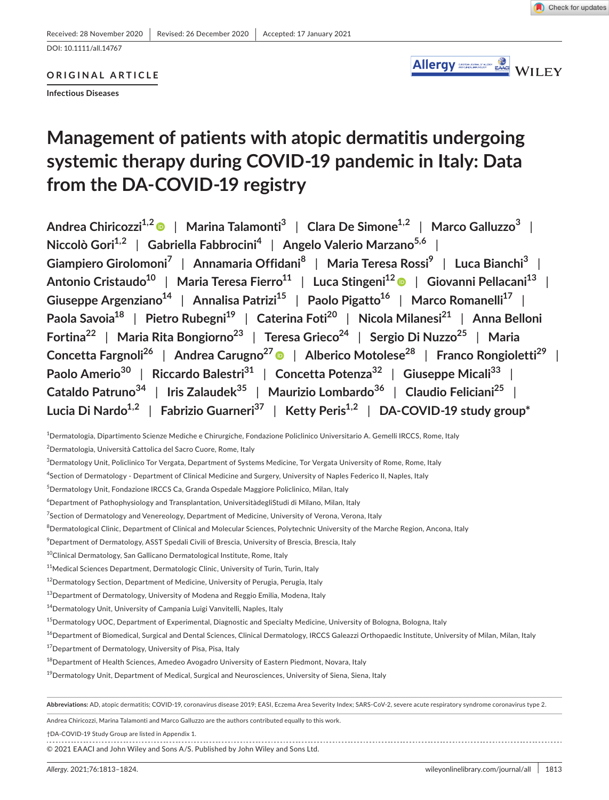DOI: 10.1111/all.14767

# **ORIGINAL ARTICLE**

**Infectious Diseases**

# **Management of patients with atopic dermatitis undergoing systemic therapy during COVID-19 pandemic in Italy: Data from the DA-COVID-19 registry**

**Andrea Chiricozzi1,2** | **Marina Talamonti3** | **Clara De Simone1,2** | **Marco Galluzzo<sup>3</sup>** | **Niccolò Gori1,2** | **Gabriella Fabbrocini<sup>4</sup>** | **Angelo Valerio Marzano5,6** | **Giampiero Girolomoni7** | **Annamaria Offidani<sup>8</sup>** | **Maria Teresa Rossi9** | **Luca Bianchi3** | **Antonio Cristaudo10** | **Maria Teresa Fierro11** | **Luca Stingeni1[2](https://orcid.org/0000-0001-7919-8141)** | **Giovanni Pellacani13** | **Giuseppe Argenziano14** | **Annalisa Patrizi15** | **Paolo Pigatto16** | **Marco Romanelli17** | **Paola Savoia18** | **Pietro Rubegni19** | **Caterina Foti20** | **Nicola Milanesi21** | **Anna Belloni Fortina22** | **Maria Rita Bongiorno23** | **Teresa Grieco24** | **Sergio Di Nuzzo25** | **Maria Concetta Fargnoli26** | **Andrea Carugno2[7](https://orcid.org/0000-0002-8231-2205)** | **Alberico Motolese28** | **Franco Rongioletti29** | **Paolo Amerio<sup>30</sup>** | **Riccardo Balestri31** | **Concetta Potenza32** | **Giuseppe Micali33** | **Cataldo Patruno<sup>34</sup>** | **Iris Zalaudek<sup>35</sup>** | **Maurizio Lombardo36** | **Claudio Feliciani25** | **Lucia Di Nardo1,2** | **Fabrizio Guarneri37** | **Ketty Peris1,2** | **DA-COVID-19 study group\***

1 Dermatologia, Dipartimento Scienze Mediche e Chirurgiche, Fondazione Policlinico Universitario A. Gemelli IRCCS, Rome, Italy

**Abbreviations:** AD, atopic dermatitis; COVID-19, coronavirus disease 2019; EASI, Eczema Area Severity Index; SARS-CoV-2, severe acute respiratory syndrome coronavirus type 2.

Andrea Chiricozzi, Marina Talamonti and Marco Galluzzo are the authors contributed equally to this work.

†DA-COVID-19 Study Group are listed in Appendix 1.

© 2021 EAACI and John Wiley and Sons A/S. Published by John Wiley and Sons Ltd.

<sup>2</sup> Dermatologia, Università Cattolica del Sacro Cuore, Rome, Italy

 $^3$ Dermatology Unit, Policlinico Tor Vergata, Department of Systems Medicine, Tor Vergata University of Rome, Rome, Italy

<sup>4</sup> Section of Dermatology - Department of Clinical Medicine and Surgery, University of Naples Federico II, Naples, Italy

<sup>5</sup> Dermatology Unit, Fondazione IRCCS Ca, Granda Ospedale Maggiore Policlinico, Milan, Italy

 $^6$ Department of Pathophysiology and Transplantation, UniversitàdegliStudi di Milano, Milan, Italy

<sup>&</sup>lt;sup>7</sup>Section of Dermatology and Venereology, Department of Medicine, University of Verona, Verona, Italy

 $^8$ Dermatological Clinic, Department of Clinical and Molecular Sciences, Polytechnic University of the Marche Region, Ancona, Italy

 $^9$ Department of Dermatology, ASST Spedali Civili of Brescia, University of Brescia, Brescia, Italy

<sup>10</sup>Clinical Dermatology, San Gallicano Dermatological Institute, Rome, Italy

<sup>&</sup>lt;sup>11</sup>Medical Sciences Department, Dermatologic Clinic, University of Turin, Turin, Italy

 $12$ Dermatology Section, Department of Medicine, University of Perugia, Perugia, Italy

 $^{13}$ Department of Dermatology, University of Modena and Reggio Emilia, Modena, Italy

<sup>&</sup>lt;sup>14</sup>Dermatology Unit, University of Campania Luigi Vanvitelli, Naples, Italy

<sup>&</sup>lt;sup>15</sup>Dermatology UOC, Department of Experimental, Diagnostic and Specialty Medicine, University of Bologna, Bologna, Italy

<sup>&</sup>lt;sup>16</sup>Department of Biomedical, Surgical and Dental Sciences, Clinical Dermatology, IRCCS Galeazzi Orthopaedic Institute, University of Milan, Milan, Italy

<sup>&</sup>lt;sup>17</sup>Department of Dermatology, University of Pisa, Pisa, Italy

<sup>&</sup>lt;sup>18</sup> Department of Health Sciences, Amedeo Avogadro University of Eastern Piedmont, Novara, Italy

<sup>&</sup>lt;sup>19</sup>Dermatology Unit, Department of Medical, Surgical and Neurosciences, University of Siena, Siena, Italy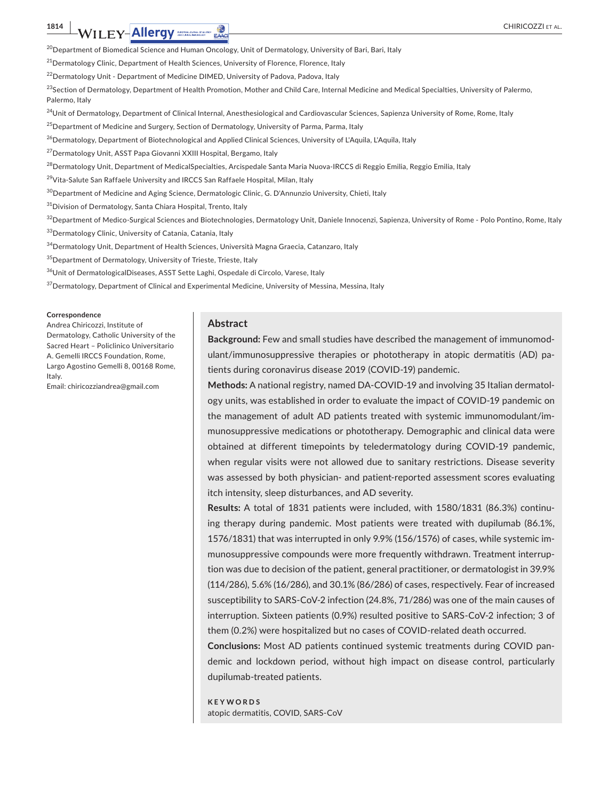<sup>20</sup>Department of Biomedical Science and Human Oncology, Unit of Dermatology, University of Bari, Bari, Italy

<sup>21</sup>Dermatology Clinic, Department of Health Sciences, University of Florence, Florence, Italy

<sup>22</sup>Dermatology Unit - Department of Medicine DIMED, University of Padova, Padova, Italy

 $^{23}$ Section of Dermatology, Department of Health Promotion, Mother and Child Care, Internal Medicine and Medical Specialties, University of Palermo, Palermo, Italy

<sup>24</sup>Unit of Dermatology, Department of Clinical Internal, Anesthesiological and Cardiovascular Sciences, Sapienza University of Rome, Rome, Italy

<sup>25</sup> Department of Medicine and Surgery, Section of Dermatology, University of Parma, Parma, Italy

<sup>26</sup>Dermatology, Department of Biotechnological and Applied Clinical Sciences, University of L'Aquila, L'Aquila, Italy

<sup>27</sup>Dermatology Unit, ASST Papa Giovanni XXIII Hospital, Bergamo, Italy

<sup>28</sup>Dermatology Unit, Department of MedicalSpecialties, Arcispedale Santa Maria Nuova-IRCCS di Reggio Emilia, Reggio Emilia, Italy

<sup>29</sup>Vita-Salute San Raffaele University and IRCCS San Raffaele Hospital, Milan, Italy

<sup>30</sup>Department of Medicine and Aging Science, Dermatologic Clinic, G. D'Annunzio University, Chieti, Italy

<sup>31</sup>Division of Dermatology, Santa Chiara Hospital, Trento, Italy

 $^{32}$ Department of Medico-Surgical Sciences and Biotechnologies, Dermatology Unit, Daniele Innocenzi, Sapienza, University of Rome - Polo Pontino, Rome, Italy

33 Dermatology Clinic, University of Catania, Catania, Italy

34 Dermatology Unit, Department of Health Sciences, Università Magna Graecia, Catanzaro, Italy

 $35$ Department of Dermatology, University of Trieste, Trieste, Italy

<sup>36</sup>Unit of DermatologicalDiseases, ASST Sette Laghi, Ospedale di Circolo, Varese, Italy

<sup>37</sup> Dermatology, Department of Clinical and Experimental Medicine, University of Messina, Messina, Italy

#### **Correspondence**

Andrea Chiricozzi, Institute of Dermatology, Catholic University of the Sacred Heart – Policlinico Universitario A. Gemelli IRCCS Foundation, Rome, Largo Agostino Gemelli 8, 00168 Rome, Italy.

Email: [chiricozziandrea@gmail.com](mailto:chiricozziandrea@gmail.com)

#### **Abstract**

**Background:** Few and small studies have described the management of immunomodulant/immunosuppressive therapies or phototherapy in atopic dermatitis (AD) patients during coronavirus disease 2019 (COVID-19) pandemic.

**Methods:** A national registry, named DA-COVID-19 and involving 35 Italian dermatology units, was established in order to evaluate the impact of COVID-19 pandemic on the management of adult AD patients treated with systemic immunomodulant/immunosuppressive medications or phototherapy. Demographic and clinical data were obtained at different timepoints by teledermatology during COVID-19 pandemic, when regular visits were not allowed due to sanitary restrictions. Disease severity was assessed by both physician- and patient-reported assessment scores evaluating itch intensity, sleep disturbances, and AD severity.

**Results:** A total of 1831 patients were included, with 1580/1831 (86.3%) continuing therapy during pandemic. Most patients were treated with dupilumab (86.1%, 1576/1831) that was interrupted in only 9.9% (156/1576) of cases, while systemic immunosuppressive compounds were more frequently withdrawn. Treatment interruption was due to decision of the patient, general practitioner, or dermatologist in 39.9% (114/286), 5.6% (16/286), and 30.1% (86/286) of cases, respectively. Fear of increased susceptibility to SARS-CoV-2 infection (24.8%, 71/286) was one of the main causes of interruption. Sixteen patients (0.9%) resulted positive to SARS-CoV-2 infection; 3 of them (0.2%) were hospitalized but no cases of COVID-related death occurred.

**Conclusions:** Most AD patients continued systemic treatments during COVID pandemic and lockdown period, without high impact on disease control, particularly dupilumab-treated patients.

**KEYWORDS** atopic dermatitis, COVID, SARS-CoV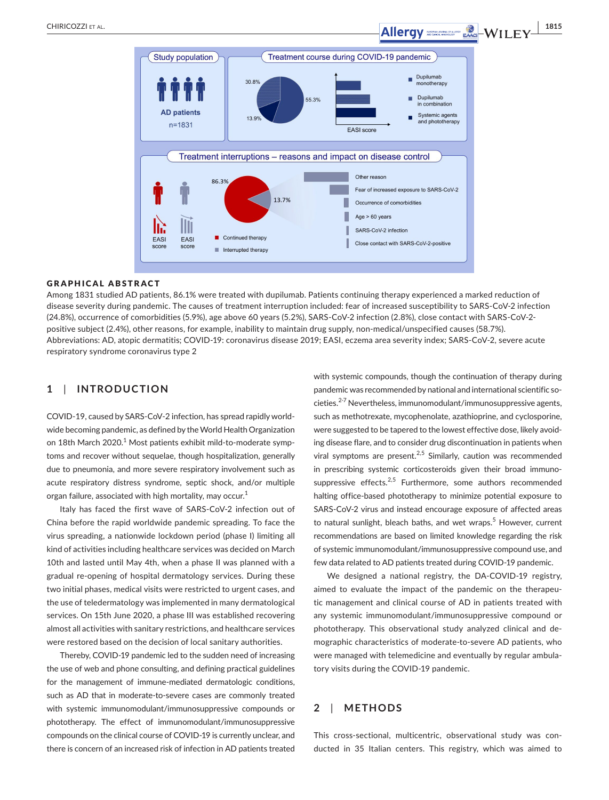

# GRAPHICAL ABSTRACT

Among 1831 studied AD patients, 86.1% were treated with dupilumab. Patients continuing therapy experienced a marked reduction of disease severity during pandemic. The causes of treatment interruption included: fear of increased susceptibility to SARS-CoV-2 infection (24.8%), occurrence of comorbidities (5.9%), age above 60 years (5.2%), SARS-CoV-2 infection (2.8%), close contact with SARS-CoV-2 positive subject (2.4%), other reasons, for example, inability to maintain drug supply, non-medical/unspecified causes (58.7%). Abbreviations: AD, atopic dermatitis; COVID-19: coronavirus disease 2019; EASI, eczema area severity index; SARS-CoV-2, severe acute respiratory syndrome coronavirus type 2

# **1**  | **INTRODUCTION**

COVID-19, caused by SARS-CoV-2 infection, has spread rapidly worldwide becoming pandemic, as defined by the World Health Organization on 18th March 2020.<sup>1</sup> Most patients exhibit mild-to-moderate symptoms and recover without sequelae, though hospitalization, generally due to pneumonia, and more severe respiratory involvement such as acute respiratory distress syndrome, septic shock, and/or multiple organ failure, associated with high mortality, may occur.<sup>1</sup>

Italy has faced the first wave of SARS-CoV-2 infection out of China before the rapid worldwide pandemic spreading. To face the virus spreading, a nationwide lockdown period (phase I) limiting all kind of activities including healthcare services was decided on March 10th and lasted until May 4th, when a phase II was planned with a gradual re-opening of hospital dermatology services. During these two initial phases, medical visits were restricted to urgent cases, and the use of teledermatology was implemented in many dermatological services. On 15th June 2020, a phase III was established recovering almost all activities with sanitary restrictions, and healthcare services were restored based on the decision of local sanitary authorities.

Thereby, COVID-19 pandemic led to the sudden need of increasing the use of web and phone consulting, and defining practical guidelines for the management of immune-mediated dermatologic conditions, such as AD that in moderate-to-severe cases are commonly treated with systemic immunomodulant/immunosuppressive compounds or phototherapy. The effect of immunomodulant/immunosuppressive compounds on the clinical course of COVID-19 is currently unclear, and there is concern of an increased risk of infection in AD patients treated

with systemic compounds, though the continuation of therapy during pandemic was recommended by national and international scientific societies.<sup>2-7</sup> Nevertheless, immunomodulant/immunosuppressive agents, such as methotrexate, mycophenolate, azathioprine, and cyclosporine, were suggested to be tapered to the lowest effective dose, likely avoiding disease flare, and to consider drug discontinuation in patients when viral symptoms are present.<sup>2,5</sup> Similarly, caution was recommended in prescribing systemic corticosteroids given their broad immunosuppressive effects. $2,5$  Furthermore, some authors recommended halting office-based phototherapy to minimize potential exposure to SARS-CoV-2 virus and instead encourage exposure of affected areas to natural sunlight, bleach baths, and wet wraps.<sup>5</sup> However, current recommendations are based on limited knowledge regarding the risk of systemic immunomodulant/immunosuppressive compound use, and few data related to AD patients treated during COVID-19 pandemic.

We designed a national registry, the DA-COVID-19 registry, aimed to evaluate the impact of the pandemic on the therapeutic management and clinical course of AD in patients treated with any systemic immunomodulant/immunosuppressive compound or phototherapy. This observational study analyzed clinical and demographic characteristics of moderate-to-severe AD patients, who were managed with telemedicine and eventually by regular ambulatory visits during the COVID-19 pandemic.

# **2**  | **METHODS**

This cross-sectional, multicentric, observational study was conducted in 35 Italian centers. This registry, which was aimed to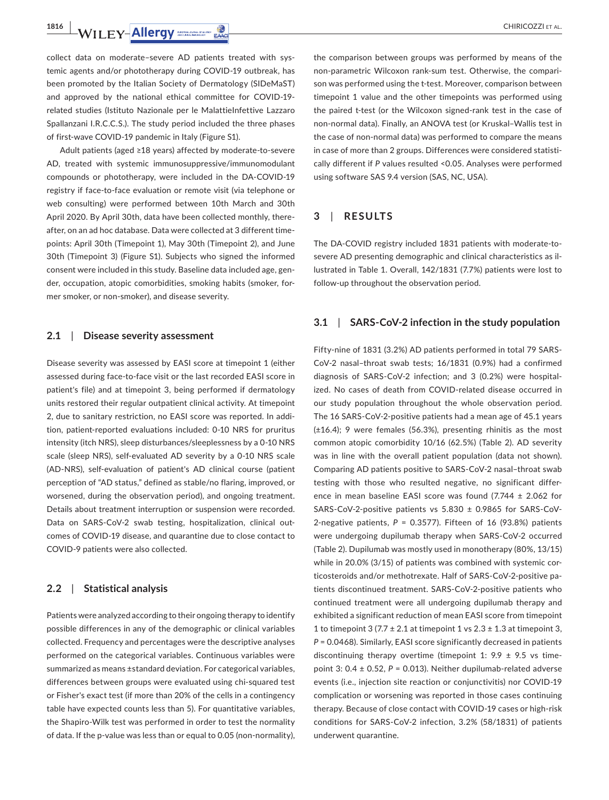**1816 | WILEY-Allergy** *CHIRICOZZI ET AL.* 

collect data on moderate–severe AD patients treated with systemic agents and/or phototherapy during COVID-19 outbreak, has been promoted by the Italian Society of Dermatology (SIDeMaST) and approved by the national ethical committee for COVID-19 related studies (Istituto Nazionale per le MalattieInfettive Lazzaro Spallanzani I.R.C.C.S.). The study period included the three phases of first-wave COVID-19 pandemic in Italy (Figure S1).

Adult patients (aged ≥18 years) affected by moderate-to-severe AD, treated with systemic immunosuppressive/immunomodulant compounds or phototherapy, were included in the DA-COVID-19 registry if face-to-face evaluation or remote visit (via telephone or web consulting) were performed between 10th March and 30th April 2020. By April 30th, data have been collected monthly, thereafter, on an ad hoc database. Data were collected at 3 different timepoints: April 30th (Timepoint 1), May 30th (Timepoint 2), and June 30th (Timepoint 3) (Figure S1). Subjects who signed the informed consent were included in this study. Baseline data included age, gender, occupation, atopic comorbidities, smoking habits (smoker, former smoker, or non-smoker), and disease severity.

# **2.1**  | **Disease severity assessment**

Disease severity was assessed by EASI score at timepoint 1 (either assessed during face-to-face visit or the last recorded EASI score in patient's file) and at timepoint 3, being performed if dermatology units restored their regular outpatient clinical activity. At timepoint 2, due to sanitary restriction, no EASI score was reported. In addition, patient-reported evaluations included: 0-10 NRS for pruritus intensity (itch NRS), sleep disturbances/sleeplessness by a 0-10 NRS scale (sleep NRS), self-evaluated AD severity by a 0-10 NRS scale (AD-NRS), self-evaluation of patient's AD clinical course (patient perception of "AD status," defined as stable/no flaring, improved, or worsened, during the observation period), and ongoing treatment. Details about treatment interruption or suspension were recorded. Data on SARS-CoV-2 swab testing, hospitalization, clinical outcomes of COVID-19 disease, and quarantine due to close contact to COVID-9 patients were also collected.

# **2.2**  | **Statistical analysis**

Patients were analyzed according to their ongoing therapy to identify possible differences in any of the demographic or clinical variables collected. Frequency and percentages were the descriptive analyses performed on the categorical variables. Continuous variables were summarized as means ±standard deviation. For categorical variables, differences between groups were evaluated using chi-squared test or Fisher's exact test (if more than 20% of the cells in a contingency table have expected counts less than 5). For quantitative variables, the Shapiro-Wilk test was performed in order to test the normality of data. If the p-value was less than or equal to 0.05 (non-normality),

the comparison between groups was performed by means of the non-parametric Wilcoxon rank-sum test. Otherwise, the comparison was performed using the t-test. Moreover, comparison between timepoint 1 value and the other timepoints was performed using the paired t-test (or the Wilcoxon signed-rank test in the case of non-normal data). Finally, an ANOVA test (or Kruskal–Wallis test in the case of non-normal data) was performed to compare the means in case of more than 2 groups. Differences were considered statistically different if *P* values resulted <0.05. Analyses were performed using software SAS 9.4 version (SAS, NC, USA).

# **3**  | **RESULTS**

The DA-COVID registry included 1831 patients with moderate-tosevere AD presenting demographic and clinical characteristics as illustrated in Table 1. Overall, 142/1831 (7.7%) patients were lost to follow-up throughout the observation period.

# **3.1**  | **SARS-CoV-2 infection in the study population**

Fifty-nine of 1831 (3.2%) AD patients performed in total 79 SARS-CoV-2 nasal–throat swab tests; 16/1831 (0.9%) had a confirmed diagnosis of SARS-CoV-2 infection; and 3 (0.2%) were hospitalized. No cases of death from COVID-related disease occurred in our study population throughout the whole observation period. The 16 SARS-CoV-2-positive patients had a mean age of 45.1 years (±16.4); 9 were females (56.3%), presenting rhinitis as the most common atopic comorbidity 10/16 (62.5%) (Table 2). AD severity was in line with the overall patient population (data not shown). Comparing AD patients positive to SARS-CoV-2 nasal–throat swab testing with those who resulted negative, no significant difference in mean baseline EASI score was found (7.744 ± 2.062 for SARS-CoV-2-positive patients vs 5.830 ± 0.9865 for SARS-CoV-2-negative patients, *P* = 0.3577). Fifteen of 16 (93.8%) patients were undergoing dupilumab therapy when SARS-CoV-2 occurred (Table 2). Dupilumab was mostly used in monotherapy (80%, 13/15) while in 20.0% (3/15) of patients was combined with systemic corticosteroids and/or methotrexate. Half of SARS-CoV-2-positive patients discontinued treatment. SARS-CoV-2-positive patients who continued treatment were all undergoing dupilumab therapy and exhibited a significant reduction of mean EASI score from timepoint 1 to timepoint 3 (7.7  $\pm$  2.1 at timepoint 1 vs 2.3  $\pm$  1.3 at timepoint 3, *P* = 0.0468). Similarly, EASI score significantly decreased in patients discontinuing therapy overtime (timepoint 1: 9.9  $\pm$  9.5 vs timepoint 3:  $0.4 \pm 0.52$ ,  $P = 0.013$ ). Neither dupilumab-related adverse events (i.e., injection site reaction or conjunctivitis) nor COVID-19 complication or worsening was reported in those cases continuing therapy. Because of close contact with COVID-19 cases or high-risk conditions for SARS-CoV-2 infection, 3.2% (58/1831) of patients underwent quarantine.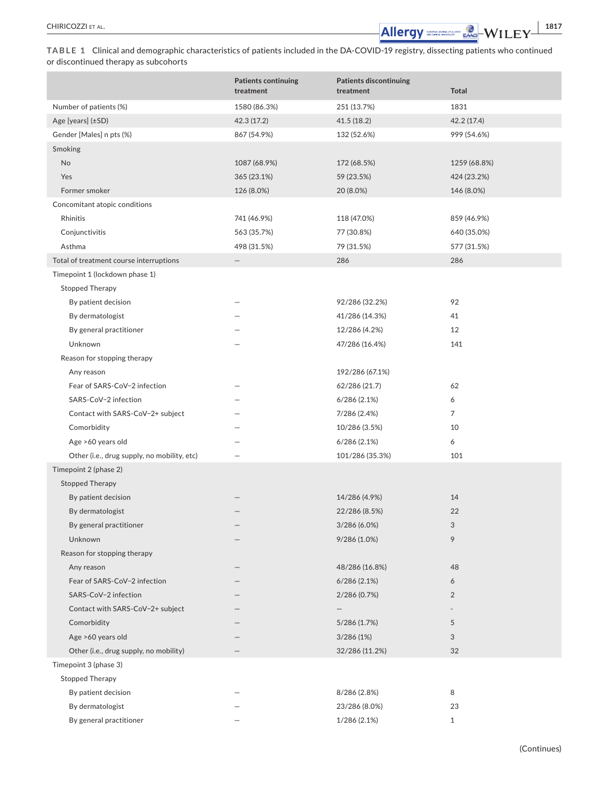CHIRICOZZI et al. **<sup>|</sup> 1817**

**TABLE 1** Clinical and demographic characteristics of patients included in the DA-COVID-19 registry, dissecting patients who continued or discontinued therapy as subcohorts

|                                             | <b>Patients continuing</b> | <b>Patients discontinuing</b> |              |
|---------------------------------------------|----------------------------|-------------------------------|--------------|
|                                             | treatment                  | treatment                     | <b>Total</b> |
| Number of patients (%)                      | 1580 (86.3%)               | 251 (13.7%)                   | 1831         |
| Age [years] (±SD)                           | 42.3 (17.2)                | 41.5(18.2)                    | 42.2 (17.4)  |
| Gender [Males] n pts (%)                    | 867 (54.9%)                | 132 (52.6%)                   | 999 (54.6%)  |
| Smoking                                     |                            |                               |              |
| No                                          | 1087 (68.9%)               | 172 (68.5%)                   | 1259 (68.8%) |
| Yes                                         | 365 (23.1%)                | 59 (23.5%)                    | 424 (23.2%)  |
| Former smoker                               | 126 (8.0%)                 | 20 (8.0%)                     | 146 (8.0%)   |
| Concomitant atopic conditions               |                            |                               |              |
| Rhinitis                                    | 741 (46.9%)                | 118 (47.0%)                   | 859 (46.9%)  |
| Conjunctivitis                              | 563 (35.7%)                | 77 (30.8%)                    | 640 (35.0%)  |
| Asthma                                      | 498 (31.5%)                | 79 (31.5%)                    | 577 (31.5%)  |
| Total of treatment course interruptions     |                            | 286                           | 286          |
| Timepoint 1 (lockdown phase 1)              |                            |                               |              |
| <b>Stopped Therapy</b>                      |                            |                               |              |
| By patient decision                         |                            | 92/286 (32.2%)                | 92           |
| By dermatologist                            |                            | 41/286 (14.3%)                | 41           |
| By general practitioner                     |                            | 12/286 (4.2%)                 | 12           |
| Unknown                                     |                            | 47/286 (16.4%)                | 141          |
| Reason for stopping therapy                 |                            |                               |              |
| Any reason                                  |                            | 192/286 (67.1%)               |              |
| Fear of SARS-CoV-2 infection                |                            | 62/286 (21.7)                 | 62           |
| SARS-CoV-2 infection                        |                            | 6/286(2.1%)                   | 6            |
| Contact with SARS-CoV-2+ subject            |                            | 7/286 (2.4%)                  | 7            |
| Comorbidity                                 |                            | 10/286 (3.5%)                 | 10           |
| Age >60 years old                           |                            | 6/286(2.1%)                   | 6            |
| Other (i.e., drug supply, no mobility, etc) |                            | 101/286 (35.3%)               | 101          |
| Timepoint 2 (phase 2)                       |                            |                               |              |
| <b>Stopped Therapy</b>                      |                            |                               |              |
| By patient decision                         |                            | 14/286 (4.9%)                 | 14           |
| By dermatologist                            |                            | 22/286 (8.5%)                 | 22           |
| By general practitioner                     |                            | 3/286 (6.0%)                  | 3            |
| Unknown                                     |                            | 9/286 (1.0%)                  | 9            |
| Reason for stopping therapy                 |                            |                               |              |
| Any reason                                  |                            | 48/286 (16.8%)                | 48           |
| Fear of SARS-CoV-2 infection                |                            | 6/286(2.1%)                   | 6            |
| SARS-CoV-2 infection                        |                            | 2/286 (0.7%)                  | 2            |
| Contact with SARS-CoV-2+ subject            |                            |                               |              |
| Comorbidity                                 |                            | 5/286 (1.7%)                  | 5            |
| Age >60 years old                           |                            | 3/286(1%)                     | 3            |
| Other (i.e., drug supply, no mobility)      |                            | 32/286 (11.2%)                | 32           |
| Timepoint 3 (phase 3)                       |                            |                               |              |
| <b>Stopped Therapy</b>                      |                            |                               |              |
| By patient decision                         |                            | 8/286 (2.8%)                  | 8            |
| By dermatologist                            |                            | 23/286 (8.0%)                 | 23           |
| By general practitioner                     |                            | 1/286 (2.1%)                  | $\mathbf{1}$ |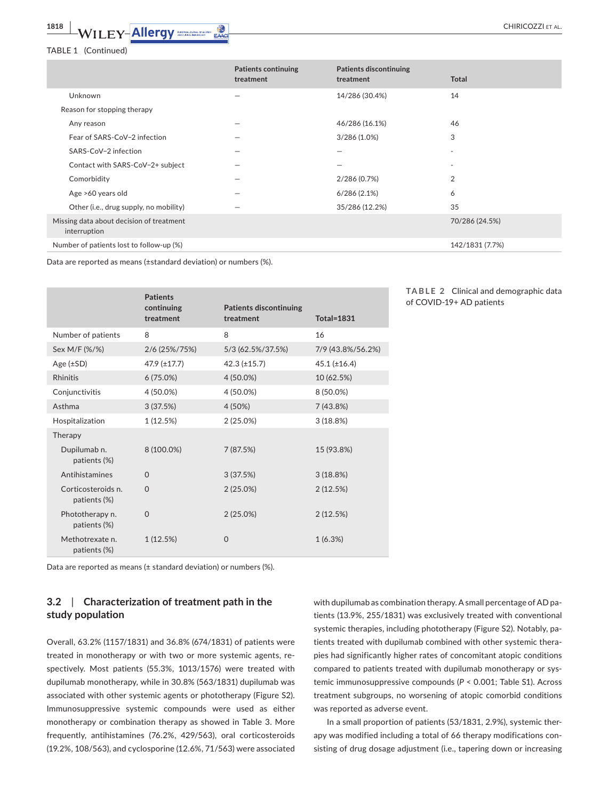# TABLE 1 (Continued)

|                                                          | <b>Patients continuing</b><br>treatment | <b>Patients discontinuing</b><br>treatment | <b>Total</b>    |
|----------------------------------------------------------|-----------------------------------------|--------------------------------------------|-----------------|
| Unknown                                                  | —                                       | 14/286 (30.4%)                             | 14              |
| Reason for stopping therapy                              |                                         |                                            |                 |
| Any reason                                               | -                                       | 46/286 (16.1%)                             | 46              |
| Fear of SARS-CoV-2 infection                             |                                         | $3/286(1.0\%)$                             | 3               |
| SARS-CoV-2 infection                                     | —                                       |                                            |                 |
| Contact with SARS-CoV-2+ subject                         |                                         |                                            |                 |
| Comorbidity                                              |                                         | 2/286 (0.7%)                               | 2               |
| Age >60 years old                                        |                                         | 6/286(2.1%)                                | 6               |
| Other (i.e., drug supply, no mobility)                   |                                         | 35/286 (12.2%)                             | 35              |
| Missing data about decision of treatment<br>interruption |                                         |                                            | 70/286 (24.5%)  |
| Number of patients lost to follow-up (%)                 |                                         |                                            | 142/1831 (7.7%) |

Data are reported as means (±standard deviation) or numbers (%).

|                                    | <b>Patients</b><br>continuing<br>treatment | <b>Patients discontinuing</b><br>treatment | <b>Total=1831</b> |
|------------------------------------|--------------------------------------------|--------------------------------------------|-------------------|
| Number of patients                 | 8                                          | 8                                          | 16                |
| Sex M/F (%/%)                      | 2/6 (25%/75%)                              | 5/3 (62.5%/37.5%)                          | 7/9 (43.8%/56.2%) |
| Age $(\pm SD)$                     | $47.9$ ( $\pm$ 17.7)                       | $42.3 (\pm 15.7)$                          | $45.1 (\pm 16.4)$ |
| <b>Rhinitis</b>                    | 6(75.0%)                                   | 4 (50.0%)                                  | 10 (62.5%)        |
| Conjunctivitis                     | 4 (50.0%)                                  | 4 (50.0%)                                  | 8 (50.0%)         |
| Asthma                             | 3(37.5%)                                   | 4 (50%)                                    | 7(43.8%)          |
| Hospitalization                    | 1(12.5%)                                   | 2 (25.0%)                                  | 3(18.8%)          |
| Therapy                            |                                            |                                            |                   |
| Dupilumab n.<br>patients (%)       | 8 (100.0%)                                 | 7 (87.5%)                                  | 15 (93.8%)        |
| Antihistamines                     | $\Omega$                                   | 3(37.5%)                                   | 3(18.8%)          |
| Corticosteroids n.<br>patients (%) | $\Omega$                                   | 2(25.0%)                                   | 2(12.5%)          |
| Phototherapy n.<br>patients (%)    | $\Omega$                                   | 2(25.0%)                                   | 2(12.5%)          |
| Methotrexate n.<br>patients (%)    | 1(12.5%)                                   | $\Omega$                                   | 1(6.3%)           |

Data are reported as means (± standard deviation) or numbers (%).

# **3.2**  | **Characterization of treatment path in the study population**

Overall, 63.2% (1157/1831) and 36.8% (674/1831) of patients were treated in monotherapy or with two or more systemic agents, respectively. Most patients (55.3%, 1013/1576) were treated with dupilumab monotherapy, while in 30.8% (563/1831) dupilumab was associated with other systemic agents or phototherapy (Figure S2). Immunosuppressive systemic compounds were used as either monotherapy or combination therapy as showed in Table 3. More frequently, antihistamines (76.2%, 429/563), oral corticosteroids (19.2%, 108/563), and cyclosporine (12.6%, 71/563) were associated

with dupilumab as combination therapy. A small percentage of AD patients (13.9%, 255/1831) was exclusively treated with conventional systemic therapies, including phototherapy (Figure S2). Notably, patients treated with dupilumab combined with other systemic therapies had significantly higher rates of concomitant atopic conditions compared to patients treated with dupilumab monotherapy or systemic immunosuppressive compounds (*P* < 0.001; Table S1). Across treatment subgroups, no worsening of atopic comorbid conditions was reported as adverse event.

In a small proportion of patients (53/1831, 2.9%), systemic therapy was modified including a total of 66 therapy modifications consisting of drug dosage adjustment (i.e., tapering down or increasing

| <b>TABLE 2</b> Clinical and demographic data |  |  |
|----------------------------------------------|--|--|
| of COVID-19+ AD patients                     |  |  |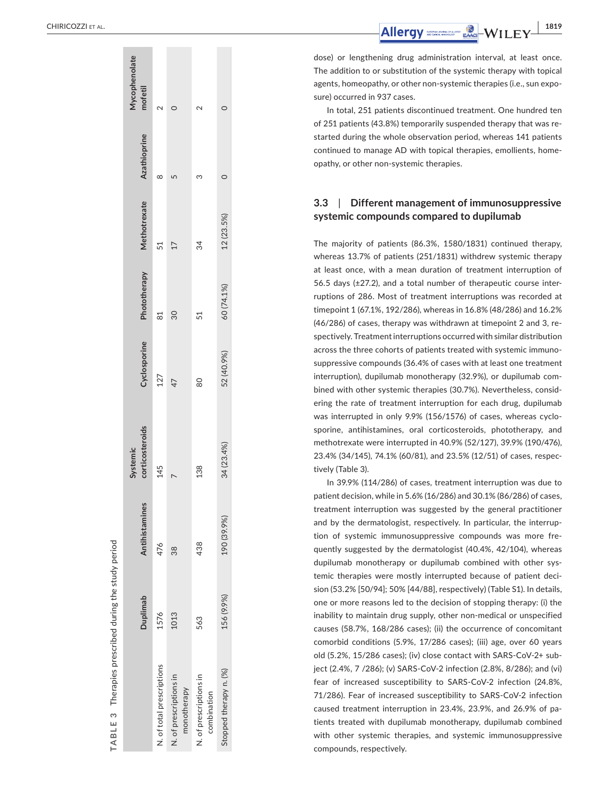|                                       | Duplimab   | Antihistamines | corticosteroids<br>Systemic | Cyclosporine | Phototherapy | Methotrexate | <b>Azathioprine</b> | Mycophenolate<br>mofetil |
|---------------------------------------|------------|----------------|-----------------------------|--------------|--------------|--------------|---------------------|--------------------------|
| N. of total prescriptions             | 1576       | 476            | 145                         | 127          | 81           | 51           | ∞                   |                          |
| N. of prescriptions in<br>monotherapy | 1013       | 88             |                             | 47           | 30           | 17           | Ц                   |                          |
| N. of prescriptions in<br>combination | 563        | 438            | 138                         | 80           | 51           | 34           | S                   | $\sim$                   |
| Stopped therapy n. (%)                | 156 (9.9%) | 190 (39.9%)    | 34 (23.4%)                  | 52 (40.9%)   | 60 (74.1%)   | 12 (23.5%)   |                     | 0                        |
|                                       |            |                |                             |              |              |              |                     |                          |

**TABLE 3**

 $\infty$ 플  $\overline{a}$  $\preceq$ 

Therapies prescribed during the study period

Therapies prescribed during the study period

 CHIRICOZZI et al.

dose) or lengthening drug administration interval, at least once. The addition to or substitution of the systemic therapy with topical agents, homeopathy, or other non-systemic therapies (i.e., sun expo sure) occurred in 937 cases.

In total, 251 patients discontinued treatment. One hundred ten of 251 patients (43.8%) temporarily suspended therapy that was re started during the whole observation period, whereas 141 patients continued to manage AD with topical therapies, emollients, home opathy, or other non-systemic therapies.

#### **3.3**  | **Different management of immunosuppressive systemic compounds compared to dupilumab**

The majority of patients (86.3%, 1580/1831) continued therapy, whereas 13.7% of patients (251/1831) withdrew systemic therapy at least once, with a mean duration of treatment interruption of 56.5 days (±27.2), and a total number of therapeutic course inter ruptions of 286. Most of treatment interruptions was recorded at timepoint 1 (67.1%, 192/286), whereas in 16.8% (48/286) and 16.2% (46/286) of cases, therapy was withdrawn at timepoint 2 and 3, re spectively. Treatment interruptions occurred with similar distribution across the three cohorts of patients treated with systemic immuno suppressive compounds (36.4% of cases with at least one treatment interruption), dupilumab monotherapy (32.9%), or dupilumab com bined with other systemic therapies (30.7%). Nevertheless, consid ering the rate of treatment interruption for each drug, dupilumab was interrupted in only 9.9% (156/1576) of cases, whereas cyclo sporine, antihistamines, oral corticosteroids, phototherapy, and methotrexate were interrupted in 40.9% (52/127), 39.9% (190/476), 23.4% (34/145), 74.1% (60/81), and 23.5% (12/51) of cases, respec tively (Table 3).

In 39.9% (114/286) of cases, treatment interruption was due to patient decision, while in 5.6% (16/286) and 30.1% (86/286) of cases, treatment interruption was suggested by the general practitioner and by the dermatologist, respectively. In particular, the interrup tion of systemic immunosuppressive compounds was more fre quently suggested by the dermatologist (40.4%, 42/104), whereas dupilumab monotherapy or dupilumab combined with other sys temic therapies were mostly interrupted because of patient deci sion (53.2% [50/94]; 50% [44/88], respectively) (Table S1). In details, one or more reasons led to the decision of stopping therapy: (i) the inability to maintain drug supply, other non-medical or unspecified causes (58.7%, 168/286 cases); (ii) the occurrence of concomitant comorbid conditions (5.9%, 17/286 cases); (iii) age, over 60 years old (5.2%, 15/286 cases); (iv) close contact with SARS-CoV-2+ sub ject (2.4%, 7 /286); (v) SARS-CoV-2 infection (2.8%, 8/286); and (vi) fear of increased susceptibility to SARS-CoV-2 infection (24.8%, 71/286). Fear of increased susceptibility to SARS-CoV-2 infection caused treatment interruption in 23.4%, 23.9%, and 26.9% of pa tients treated with dupilumab monotherapy, dupilumab combined with other systemic therapies, and systemic immunosuppressive compounds, respectively.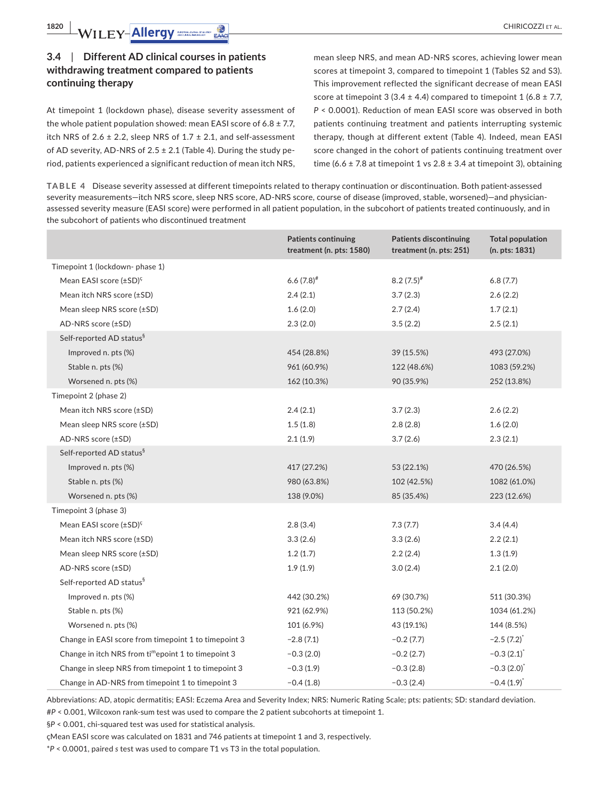# **3.4**  | **Different AD clinical courses in patients withdrawing treatment compared to patients continuing therapy**

At timepoint 1 (lockdown phase), disease severity assessment of the whole patient population showed: mean EASI score of  $6.8 \pm 7.7$ , itch NRS of 2.6  $\pm$  2.2, sleep NRS of 1.7  $\pm$  2.1, and self-assessment of AD severity, AD-NRS of  $2.5 \pm 2.1$  (Table 4). During the study period, patients experienced a significant reduction of mean itch NRS,

mean sleep NRS, and mean AD-NRS scores, achieving lower mean scores at timepoint 3, compared to timepoint 1 (Tables S2 and S3). This improvement reflected the significant decrease of mean EASI score at timepoint 3 (3.4  $\pm$  4.4) compared to timepoint 1 (6.8  $\pm$  7.7, *P* < 0.0001). Reduction of mean EASI score was observed in both patients continuing treatment and patients interrupting systemic therapy, though at different extent (Table 4). Indeed, mean EASI score changed in the cohort of patients continuing treatment over time (6.6  $\pm$  7.8 at timepoint 1 vs 2.8  $\pm$  3.4 at timepoint 3), obtaining

**TABLE 4** Disease severity assessed at different timepoints related to therapy continuation or discontinuation. Both patient-assessed severity measurements—itch NRS score, sleep NRS score, AD-NRS score, course of disease (improved, stable, worsened)—and physicianassessed severity measure (EASI score) were performed in all patient population, in the subcohort of patients treated continuously, and in the subcohort of patients who discontinued treatment

|                                                                 | <b>Patients continuing</b><br>treatment (n. pts: $1580$ ) | <b>Patients discontinuing</b><br>treatment (n. pts: $251$ ) | <b>Total population</b><br>(n. pts: 1831) |
|-----------------------------------------------------------------|-----------------------------------------------------------|-------------------------------------------------------------|-------------------------------------------|
| Timepoint 1 (lockdown-phase 1)                                  |                                                           |                                                             |                                           |
| Mean EASI score (±SD) <sup>ç</sup>                              | $6.6(7.8)^{*}$                                            | $8.2(7.5)^{*}$                                              | 6.8(7.7)                                  |
| Mean itch NRS score (±SD)                                       | 2.4(2.1)                                                  | 3.7(2.3)                                                    | 2.6(2.2)                                  |
| Mean sleep NRS score (±SD)                                      | 1.6(2.0)                                                  | 2.7(2.4)                                                    | 1.7(2.1)                                  |
| AD-NRS score (±SD)                                              | 2.3(2.0)                                                  | 3.5(2.2)                                                    | 2.5(2.1)                                  |
| Self-reported AD status <sup>§</sup>                            |                                                           |                                                             |                                           |
| Improved n. pts (%)                                             | 454 (28.8%)                                               | 39 (15.5%)                                                  | 493 (27.0%)                               |
| Stable n. pts (%)                                               | 961 (60.9%)                                               | 122 (48.6%)                                                 | 1083 (59.2%)                              |
| Worsened n. pts (%)                                             | 162 (10.3%)                                               | 90 (35.9%)                                                  | 252 (13.8%)                               |
| Timepoint 2 (phase 2)                                           |                                                           |                                                             |                                           |
| Mean itch NRS score (±SD)                                       | 2.4(2.1)                                                  | 3.7(2.3)                                                    | 2.6(2.2)                                  |
| Mean sleep NRS score (±SD)                                      | 1.5(1.8)                                                  | 2.8(2.8)                                                    | 1.6(2.0)                                  |
| AD-NRS score (±SD)                                              | 2.1(1.9)                                                  | 3.7(2.6)                                                    | 2.3(2.1)                                  |
| Self-reported AD status <sup>§</sup>                            |                                                           |                                                             |                                           |
| Improved n. pts (%)                                             | 417 (27.2%)                                               | 53 (22.1%)                                                  | 470 (26.5%)                               |
| Stable n. pts (%)                                               | 980 (63.8%)                                               | 102 (42.5%)                                                 | 1082 (61.0%)                              |
| Worsened n. pts (%)                                             | 138 (9.0%)                                                | 85 (35.4%)                                                  | 223 (12.6%)                               |
| Timepoint 3 (phase 3)                                           |                                                           |                                                             |                                           |
| Mean EASI score $(\pm SD)^{c}$                                  | 2.8(3.4)                                                  | 7.3(7.7)                                                    | 3.4(4.4)                                  |
| Mean itch NRS score (±SD)                                       | 3.3(2.6)                                                  | 3.3(2.6)                                                    | 2.2(2.1)                                  |
| Mean sleep NRS score (±SD)                                      | 1.2(1.7)                                                  | 2.2(2.4)                                                    | 1.3(1.9)                                  |
| AD-NRS score (±SD)                                              | 1.9(1.9)                                                  | 3.0(2.4)                                                    | 2.1(2.0)                                  |
| Self-reported AD status <sup>§</sup>                            |                                                           |                                                             |                                           |
| Improved n. pts (%)                                             | 442 (30.2%)                                               | 69 (30.7%)                                                  | 511 (30.3%)                               |
| Stable n. pts (%)                                               | 921 (62.9%)                                               | 113 (50.2%)                                                 | 1034 (61.2%)                              |
| Worsened n. pts (%)                                             | 101 (6.9%)                                                | 43 (19.1%)                                                  | 144 (8.5%)                                |
| Change in EASI score from timepoint 1 to timepoint 3            | $-2.8(7.1)$                                               | $-0.2(7.7)$                                                 | $-2.5(7.2)^{*}$                           |
| Change in itch NRS from ti <sup>m</sup> epoint 1 to timepoint 3 | $-0.3(2.0)$                                               | $-0.2(2.7)$                                                 | $-0.3(2.1)^{*}$                           |
| Change in sleep NRS from timepoint 1 to timepoint 3             | $-0.3(1.9)$                                               | $-0.3(2.8)$                                                 | $-0.3(2.0)^{t}$                           |
| Change in AD-NRS from timepoint 1 to timepoint 3                | $-0.4(1.8)$                                               | $-0.3(2.4)$                                                 | $-0.4(1.9)^{*}$                           |

Abbreviations: AD, atopic dermatitis; EASI: Eczema Area and Severity Index; NRS: Numeric Rating Scale; pts: patients; SD: standard deviation. #*P* < 0.001, Wilcoxon rank-sum test was used to compare the 2 patient subcohorts at timepoint 1.

§*P* < 0.001, chi-squared test was used for statistical analysis.

çMean EASI score was calculated on 1831 and 746 patients at timepoint 1 and 3, respectively.

\**P* < 0.0001, paired *s* test was used to compare T1 vs T3 in the total population.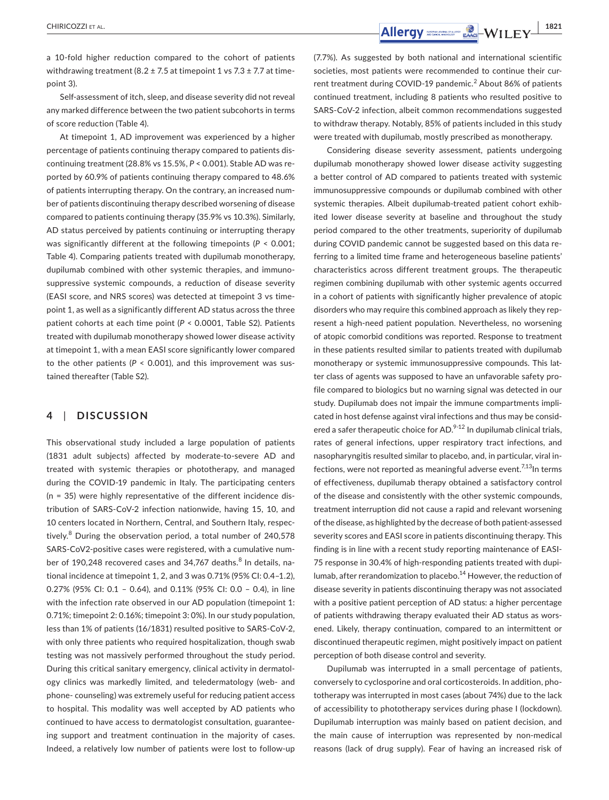a 10-fold higher reduction compared to the cohort of patients withdrawing treatment (8.2  $\pm$  7.5 at timepoint 1 vs 7.3  $\pm$  7.7 at timepoint 3).

Self-assessment of itch, sleep, and disease severity did not reveal any marked difference between the two patient subcohorts in terms of score reduction (Table 4).

At timepoint 1, AD improvement was experienced by a higher percentage of patients continuing therapy compared to patients discontinuing treatment (28.8% vs 15.5%, *P* < 0.001). Stable AD was reported by 60.9% of patients continuing therapy compared to 48.6% of patients interrupting therapy. On the contrary, an increased number of patients discontinuing therapy described worsening of disease compared to patients continuing therapy (35.9% vs 10.3%). Similarly, AD status perceived by patients continuing or interrupting therapy was significantly different at the following timepoints (*P* < 0.001; Table 4). Comparing patients treated with dupilumab monotherapy, dupilumab combined with other systemic therapies, and immunosuppressive systemic compounds, a reduction of disease severity (EASI score, and NRS scores) was detected at timepoint 3 vs timepoint 1, as well as a significantly different AD status across the three patient cohorts at each time point (*P* < 0.0001, Table S2). Patients treated with dupilumab monotherapy showed lower disease activity at timepoint 1, with a mean EASI score significantly lower compared to the other patients ( $P < 0.001$ ), and this improvement was sustained thereafter (Table S2).

# **4**  | **DISCUSSION**

This observational study included a large population of patients (1831 adult subjects) affected by moderate-to-severe AD and treated with systemic therapies or phototherapy, and managed during the COVID-19 pandemic in Italy. The participating centers (n = 35) were highly representative of the different incidence distribution of SARS-CoV-2 infection nationwide, having 15, 10, and 10 centers located in Northern, Central, and Southern Italy, respectively.<sup>8</sup> During the observation period, a total number of 240,578 SARS-CoV2-positive cases were registered, with a cumulative number of 190,248 recovered cases and 34,767 deaths.<sup>8</sup> In details, national incidence at timepoint 1, 2, and 3 was 0.71% (95% CI: 0.4–1.2), 0.27% (95% CI: 0.1 – 0.64), and 0.11% (95% CI: 0.0 – 0.4), in line with the infection rate observed in our AD population (timepoint 1: 0.71%; timepoint 2: 0.16%; timepoint 3: 0%). In our study population, less than 1% of patients (16/1831) resulted positive to SARS-CoV-2, with only three patients who required hospitalization, though swab testing was not massively performed throughout the study period. During this critical sanitary emergency, clinical activity in dermatology clinics was markedly limited, and teledermatology (web- and phone- counseling) was extremely useful for reducing patient access to hospital. This modality was well accepted by AD patients who continued to have access to dermatologist consultation, guaranteeing support and treatment continuation in the majority of cases. Indeed, a relatively low number of patients were lost to follow-up

(7.7%). As suggested by both national and international scientific societies, most patients were recommended to continue their current treatment during COVID-19 pandemic.<sup>2</sup> About 86% of patients continued treatment, including 8 patients who resulted positive to SARS-CoV-2 infection, albeit common recommendations suggested to withdraw therapy. Notably, 85% of patients included in this study were treated with dupilumab, mostly prescribed as monotherapy.

Considering disease severity assessment, patients undergoing dupilumab monotherapy showed lower disease activity suggesting a better control of AD compared to patients treated with systemic immunosuppressive compounds or dupilumab combined with other systemic therapies. Albeit dupilumab-treated patient cohort exhibited lower disease severity at baseline and throughout the study period compared to the other treatments, superiority of dupilumab during COVID pandemic cannot be suggested based on this data referring to a limited time frame and heterogeneous baseline patients' characteristics across different treatment groups. The therapeutic regimen combining dupilumab with other systemic agents occurred in a cohort of patients with significantly higher prevalence of atopic disorders who may require this combined approach as likely they represent a high-need patient population. Nevertheless, no worsening of atopic comorbid conditions was reported. Response to treatment in these patients resulted similar to patients treated with dupilumab monotherapy or systemic immunosuppressive compounds. This latter class of agents was supposed to have an unfavorable safety profile compared to biologics but no warning signal was detected in our study. Dupilumab does not impair the immune compartments implicated in host defense against viral infections and thus may be considered a safer therapeutic choice for AD. $9-12$  In dupilumab clinical trials, rates of general infections, upper respiratory tract infections, and nasopharyngitis resulted similar to placebo, and, in particular, viral infections, were not reported as meaningful adverse event.<sup>7,13</sup>In terms of effectiveness, dupilumab therapy obtained a satisfactory control of the disease and consistently with the other systemic compounds, treatment interruption did not cause a rapid and relevant worsening of the disease, as highlighted by the decrease of both patient-assessed severity scores and EASI score in patients discontinuing therapy. This finding is in line with a recent study reporting maintenance of EASI-75 response in 30.4% of high-responding patients treated with dupilumab, after rerandomization to placebo.<sup>14</sup> However, the reduction of disease severity in patients discontinuing therapy was not associated with a positive patient perception of AD status: a higher percentage of patients withdrawing therapy evaluated their AD status as worsened. Likely, therapy continuation, compared to an intermittent or discontinued therapeutic regimen, might positively impact on patient perception of both disease control and severity.

Dupilumab was interrupted in a small percentage of patients, conversely to cyclosporine and oral corticosteroids. In addition, phototherapy was interrupted in most cases (about 74%) due to the lack of accessibility to phototherapy services during phase I (lockdown). Dupilumab interruption was mainly based on patient decision, and the main cause of interruption was represented by non-medical reasons (lack of drug supply). Fear of having an increased risk of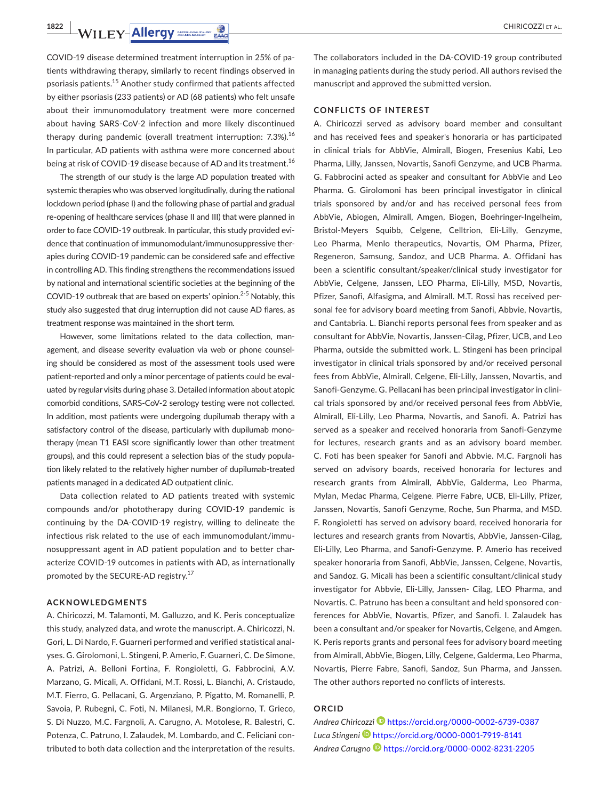**1822 WILEY-Allergy** *CHIRICOZZI ET AL.* 

COVID-19 disease determined treatment interruption in 25% of patients withdrawing therapy, similarly to recent findings observed in psoriasis patients.15 Another study confirmed that patients affected by either psoriasis (233 patients) or AD (68 patients) who felt unsafe about their immunomodulatory treatment were more concerned about having SARS-CoV-2 infection and more likely discontinued therapy during pandemic (overall treatment interruption: 7.3%).<sup>16</sup> In particular, AD patients with asthma were more concerned about being at risk of COVID-19 disease because of AD and its treatment.<sup>16</sup>

The strength of our study is the large AD population treated with systemic therapies who was observed longitudinally, during the national lockdown period (phase I) and the following phase of partial and gradual re-opening of healthcare services (phase II and III) that were planned in order to face COVID-19 outbreak. In particular, this study provided evidence that continuation of immunomodulant/immunosuppressive therapies during COVID-19 pandemic can be considered safe and effective in controlling AD. This finding strengthens the recommendations issued by national and international scientific societies at the beginning of the COVID-19 outbreak that are based on experts' opinion.<sup>2-5</sup> Notably, this study also suggested that drug interruption did not cause AD flares, as treatment response was maintained in the short term.

However, some limitations related to the data collection, management, and disease severity evaluation via web or phone counseling should be considered as most of the assessment tools used were patient-reported and only a minor percentage of patients could be evaluated by regular visits during phase 3. Detailed information about atopic comorbid conditions, SARS-CoV-2 serology testing were not collected. In addition, most patients were undergoing dupilumab therapy with a satisfactory control of the disease, particularly with dupilumab monotherapy (mean T1 EASI score significantly lower than other treatment groups), and this could represent a selection bias of the study population likely related to the relatively higher number of dupilumab-treated patients managed in a dedicated AD outpatient clinic.

Data collection related to AD patients treated with systemic compounds and/or phototherapy during COVID-19 pandemic is continuing by the DA-COVID-19 registry, willing to delineate the infectious risk related to the use of each immunomodulant/immunosuppressant agent in AD patient population and to better characterize COVID-19 outcomes in patients with AD, as internationally promoted by the SECURE-AD registry.<sup>17</sup>

# **ACKNOWLEDGMENTS**

A. Chiricozzi, M. Talamonti, M. Galluzzo, and K. Peris conceptualize this study, analyzed data, and wrote the manuscript. A. Chiricozzi, N. Gori, L. Di Nardo, F. Guarneri performed and verified statistical analyses. G. Girolomoni, L. Stingeni, P. Amerio, F. Guarneri, C. De Simone, A. Patrizi, A. Belloni Fortina, F. Rongioletti, G. Fabbrocini, A.V. Marzano, G. Micali, A. Offidani, M.T. Rossi, L. Bianchi, A. Cristaudo, M.T. Fierro, G. Pellacani, G. Argenziano, P. Pigatto, M. Romanelli, P. Savoia, P. Rubegni, C. Foti, N. Milanesi, M.R. Bongiorno, T. Grieco, S. Di Nuzzo, M.C. Fargnoli, A. Carugno, A. Motolese, R. Balestri, C. Potenza, C. Patruno, I. Zalaudek, M. Lombardo, and C. Feliciani contributed to both data collection and the interpretation of the results.

The collaborators included in the DA-COVID-19 group contributed in managing patients during the study period. All authors revised the manuscript and approved the submitted version.

#### **CONFLICTS OF INTEREST**

A. Chiricozzi served as advisory board member and consultant and has received fees and speaker's honoraria or has participated in clinical trials for AbbVie, Almirall, Biogen, Fresenius Kabi, Leo Pharma, Lilly, Janssen, Novartis, Sanofi Genzyme, and UCB Pharma. G. Fabbrocini acted as speaker and consultant for AbbVie and Leo Pharma. G. Girolomoni has been principal investigator in clinical trials sponsored by and/or and has received personal fees from AbbVie, Abiogen, Almirall, Amgen, Biogen, Boehringer-Ingelheim, Bristol-Meyers Squibb, Celgene, Celltrion, Eli-Lilly, Genzyme, Leo Pharma, Menlo therapeutics, Novartis, OM Pharma, Pfizer, Regeneron, Samsung, Sandoz, and UCB Pharma. A. Offidani has been a scientific consultant/speaker/clinical study investigator for AbbVie, Celgene, Janssen, LEO Pharma, Eli-Lilly, MSD, Novartis, Pfizer, Sanofi, Alfasigma, and Almirall. M.T. Rossi has received personal fee for advisory board meeting from Sanofi, Abbvie, Novartis, and Cantabria. L. Bianchi reports personal fees from speaker and as consultant for AbbVie, Novartis, Janssen-Cilag, Pfizer, UCB, and Leo Pharma, outside the submitted work. L. Stingeni has been principal investigator in clinical trials sponsored by and/or received personal fees from AbbVie, Almirall, Celgene, Eli-Lilly, Janssen, Novartis, and Sanofi-Genzyme. G. Pellacani has been principal investigator in clinical trials sponsored by and/or received personal fees from AbbVie, Almirall, Eli-Lilly, Leo Pharma, Novartis, and Sanofi. A. Patrizi has served as a speaker and received honoraria from Sanofi-Genzyme for lectures, research grants and as an advisory board member. C. Foti has been speaker for Sanofi and Abbvie. M.C. Fargnoli has served on advisory boards, received honoraria for lectures and research grants from Almirall, AbbVie, Galderma, Leo Pharma, Mylan, Medac Pharma, Celgene, Pierre Fabre, UCB, Eli-Lilly, Pfizer, Janssen, Novartis, Sanofi Genzyme, Roche, Sun Pharma, and MSD. F. Rongioletti has served on advisory board, received honoraria for lectures and research grants from Novartis, AbbVie, Janssen-Cilag, Eli-Lilly, Leo Pharma, and Sanofi-Genzyme. P. Amerio has received speaker honoraria from Sanofi, AbbVie, Janssen, Celgene, Novartis, and Sandoz. G. Micali has been a scientific consultant/clinical study investigator for Abbvie, Eli-Lilly, Janssen- Cilag, LEO Pharma, and Novartis. C. Patruno has been a consultant and held sponsored conferences for AbbVie, Novartis, Pfizer, and Sanofi. I. Zalaudek has been a consultant and/or speaker for Novartis, Celgene, and Amgen. K. Peris reports grants and personal fees for advisory board meeting from Almirall, AbbVie, Biogen, Lilly, Celgene, Galderma, Leo Pharma, Novartis, Pierre Fabre, Sanofi, Sandoz, Sun Pharma, and Janssen. The other authors reported no conflicts of interests.

#### **ORCID**

*Andrea Chiricozz[i](https://orcid.org/0000-0002-6739-0387)* <https://orcid.org/0000-0002-6739-0387> *Luca Stingeni* <https://orcid.org/0000-0001-7919-8141> *Andrea Carugno* <https://orcid.org/0000-0002-8231-2205>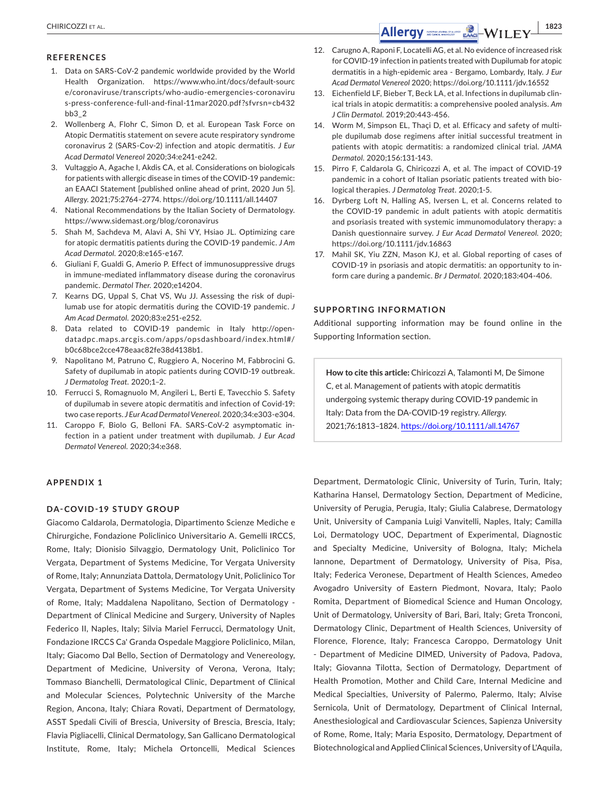#### **REFERENCES**

- 1. Data on SARS-CoV-2 pandemic worldwide provided by the World Health Organization. [https://www.who.int/docs/default-sourc](https://www.who.int/docs/default-source/coronaviruse/transcripts/who-audio-emergencies-coronavirus-press-conference-full-and-final-11mar2020.pdf?sfvrsn=cb432bb3_2) [e/coronaviruse/transcripts/who-audio-emergencies-coronaviru](https://www.who.int/docs/default-source/coronaviruse/transcripts/who-audio-emergencies-coronavirus-press-conference-full-and-final-11mar2020.pdf?sfvrsn=cb432bb3_2) [s-press-conference-full-and-final-11mar2020.pdf?sfvrsn=cb432](https://www.who.int/docs/default-source/coronaviruse/transcripts/who-audio-emergencies-coronavirus-press-conference-full-and-final-11mar2020.pdf?sfvrsn=cb432bb3_2) [bb3\\_2](https://www.who.int/docs/default-source/coronaviruse/transcripts/who-audio-emergencies-coronavirus-press-conference-full-and-final-11mar2020.pdf?sfvrsn=cb432bb3_2)
- 2. Wollenberg A, Flohr C, Simon D, et al. European Task Force on Atopic Dermatitis statement on severe acute respiratory syndrome coronavirus 2 (SARS-Cov-2) infection and atopic dermatitis. *J Eur Acad Dermatol Venereol* 2020;34:e241-e242.
- 3. Vultaggio A, Agache I, Akdis CA, et al. Considerations on biologicals for patients with allergic disease in times of the COVID-19 pandemic: an EAACI Statement [published online ahead of print, 2020 Jun 5]. *Allergy*. 2021;75:2764–2774.<https://doi.org/10.1111/all.14407>
- 4. National Recommendations by the Italian Society of Dermatology. <https://www.sidemast.org/blog/coronavirus>
- 5. Shah M, Sachdeva M, Alavi A, Shi VY, Hsiao JL. Optimizing care for atopic dermatitis patients during the COVID-19 pandemic. *J Am Acad Dermatol.* 2020;8:e165-e167.
- 6. Giuliani F, Gualdi G, Amerio P. Effect of immunosuppressive drugs in immune-mediated inflammatory disease during the coronavirus pandemic. *Dermatol Ther.* 2020;e14204.
- 7. Kearns DG, Uppal S, Chat VS, Wu JJ. Assessing the risk of dupilumab use for atopic dermatitis during the COVID-19 pandemic. *J Am Acad Dermatol.* 2020;83:e251-e252.
- 8. Data related to COVID-19 pandemic in Italy http://opendatadpc.maps.arcgis.com/apps/opsdashboard/index.html#/ b0c68bce2cce478eaac82fe38d4138b1.
- 9. Napolitano M, Patruno C, Ruggiero A, Nocerino M, Fabbrocini G. Safety of dupilumab in atopic patients during COVID-19 outbreak. *J Dermatolog Treat.* 2020;1–2.
- 10. Ferrucci S, Romagnuolo M, Angileri L, Berti E, Tavecchio S. Safety of dupilumab in severe atopic dermatitis and infection of Covid-19: two case reports. *J Eur Acad Dermatol Venereol.* 2020;34:e303-e304.
- 11. Caroppo F, Biolo G, Belloni FA. SARS-CoV-2 asymptomatic infection in a patient under treatment with dupilumab. *J Eur Acad Dermatol Venereol.* 2020;34:e368.

# **APPENDIX 1**

#### **DA-COVID-19 STUDY GROUP**

Giacomo Caldarola, Dermatologia, Dipartimento Scienze Mediche e Chirurgiche, Fondazione Policlinico Universitario A. Gemelli IRCCS, Rome, Italy; Dionisio Silvaggio, Dermatology Unit, Policlinico Tor Vergata, Department of Systems Medicine, Tor Vergata University of Rome, Italy; Annunziata Dattola, Dermatology Unit, Policlinico Tor Vergata, Department of Systems Medicine, Tor Vergata University of Rome, Italy; Maddalena Napolitano, Section of Dermatology - Department of Clinical Medicine and Surgery, University of Naples Federico II, Naples, Italy; Silvia Mariel Ferrucci, Dermatology Unit, Fondazione IRCCS Ca' Granda Ospedale Maggiore Policlinico, Milan, Italy; Giacomo Dal Bello, Section of Dermatology and Venereology, Department of Medicine, University of Verona, Verona, Italy; Tommaso Bianchelli, Dermatological Clinic, Department of Clinical and Molecular Sciences, Polytechnic University of the Marche Region, Ancona, Italy; Chiara Rovati, Department of Dermatology, ASST Spedali Civili of Brescia, University of Brescia, Brescia, Italy; Flavia Pigliacelli, Clinical Dermatology, San Gallicano Dermatological Institute, Rome, Italy; Michela Ortoncelli, Medical Sciences

- 12. Carugno A, Raponi F, Locatelli AG, et al. No evidence of increased risk for COVID-19 infection in patients treated with Dupilumab for atopic dermatitis in a high-epidemic area - Bergamo, Lombardy, Italy. *J Eur Acad Dermatol Venereol* 2020; <https://doi.org/10.1111/jdv.16552>
- 13. Eichenfield LF, Bieber T, Beck LA, et al. Infections in dupilumab clinical trials in atopic dermatitis: a comprehensive pooled analysis. *Am J Clin Dermatol.* 2019;20:443-456.
- 14. Worm M, Simpson EL, Thaçi D, et al. Efficacy and safety of multiple dupilumab dose regimens after initial successful treatment in patients with atopic dermatitis: a randomized clinical trial. *JAMA Dermatol.* 2020;156:131-143.
- 15. Pirro F, Caldarola G, Chiricozzi A, et al. The impact of COVID-19 pandemic in a cohort of Italian psoriatic patients treated with biological therapies. *J Dermatolog Treat.* 2020;1-5.
- 16. Dyrberg Loft N, Halling AS, Iversen L, et al. Concerns related to the COVID-19 pandemic in adult patients with atopic dermatitis and psoriasis treated with systemic immunomodulatory therapy: a Danish questionnaire survey. *J Eur Acad Dermatol Venereol.* 2020; <https://doi.org/10.1111/jdv.16863>
- 17. Mahil SK, Yiu ZZN, Mason KJ, et al. Global reporting of cases of COVID-19 in psoriasis and atopic dermatitis: an opportunity to inform care during a pandemic. *Br J Dermatol.* 2020;183:404-406.

## **SUPPORTING INFORMATION**

Additional supporting information may be found online in the Supporting Information section.

**How to cite this article:** Chiricozzi A, Talamonti M, De Simone C, et al. Management of patients with atopic dermatitis undergoing systemic therapy during COVID-19 pandemic in Italy: Data from the DA-COVID-19 registry. *Allergy*. 2021;76:1813–1824. <https://doi.org/10.1111/all.14767>

Department, Dermatologic Clinic, University of Turin, Turin, Italy; Katharina Hansel, Dermatology Section, Department of Medicine, University of Perugia, Perugia, Italy; Giulia Calabrese, Dermatology Unit, University of Campania Luigi Vanvitelli, Naples, Italy; Camilla Loi, Dermatology UOC, Department of Experimental, Diagnostic and Specialty Medicine, University of Bologna, Italy; Michela Iannone, Department of Dermatology, University of Pisa, Pisa, Italy; Federica Veronese, Department of Health Sciences, Amedeo Avogadro University of Eastern Piedmont, Novara, Italy; Paolo Romita, Department of Biomedical Science and Human Oncology, Unit of Dermatology, University of Bari, Bari, Italy; Greta Tronconi, Dermatology Clinic, Department of Health Sciences, University of Florence, Florence, Italy; Francesca Caroppo, Dermatology Unit - Department of Medicine DIMED, University of Padova, Padova, Italy; Giovanna Tilotta, Section of Dermatology, Department of Health Promotion, Mother and Child Care, Internal Medicine and Medical Specialties, University of Palermo, Palermo, Italy; Alvise Sernicola, Unit of Dermatology, Department of Clinical Internal, Anesthesiological and Cardiovascular Sciences, Sapienza University of Rome, Rome, Italy; Maria Esposito, Dermatology, Department of Biotechnological and Applied Clinical Sciences, University of L'Aquila,